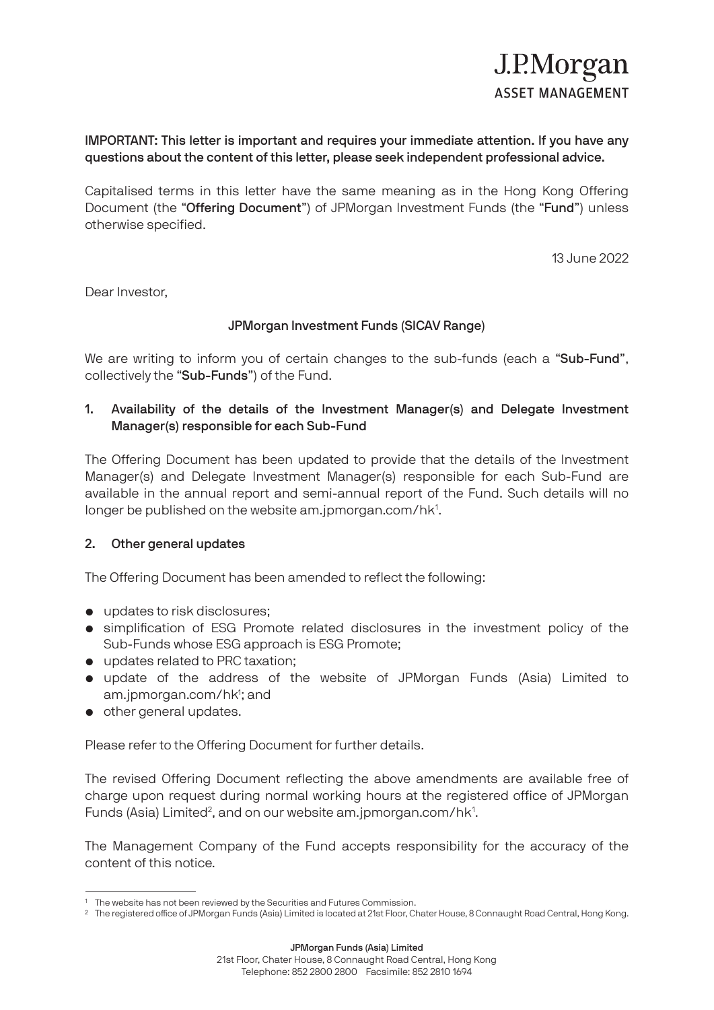## IMPORTANT: This letter is important and requires your immediate attention. If you have any questions about the content of this letter, please seek independent professional advice.

Capitalised terms in this letter have the same meaning as in the Hong Kong Offering Document (the "Offering Document") of JPMorgan Investment Funds (the "Fund") unless otherwise specified.

13 June 2022

Dear Investor,

## JPMorgan Investment Funds (SICAV Range)

We are writing to inform you of certain changes to the sub-funds (each a "Sub-Fund", collectively the "Sub-Funds") of the Fund.

## 1. Availability of the details of the Investment Manager(s) and Delegate Investment Manager(s) responsible for each Sub-Fund

The Offering Document has been updated to provide that the details of the Investment Manager(s) and Delegate Investment Manager(s) responsible for each Sub-Fund are available in the annual report and semi-annual report of the Fund. Such details will no longer be published on the website am.jpmorgan.com/hk<sup>1</sup>.

## 2. Other general updates

The Offering Document has been amended to reflect the following:

- updates to risk disclosures:
- simplification of ESG Promote related disclosures in the investment policy of the Sub-Funds whose ESG approach is ESG Promote;
- updates related to PRC taxation;
- update of the address of the website of JPMorgan Funds (Asia) Limited to am.jpmorgan.com/hk<sup>1</sup>; and
- other general updates.

Please refer to the Offering Document for further details.

The revised Offering Document reflecting the above amendments are available free of charge upon request during normal working hours at the registered office of JPMorgan Funds (Asia) Limited<sup>2</sup>, and on our website am.jpmorgan.com/hk<sup>1</sup>.

The Management Company of the Fund accepts responsibility for the accuracy of the content of this notice.

<sup>&</sup>lt;sup>1</sup> The website has not been reviewed by the Securities and Futures Commission.

<sup>2</sup> The registered office of JPMorgan Funds (Asia) Limited is located at 21st Floor, Chater House, 8 Connaught Road Central, Hong Kong.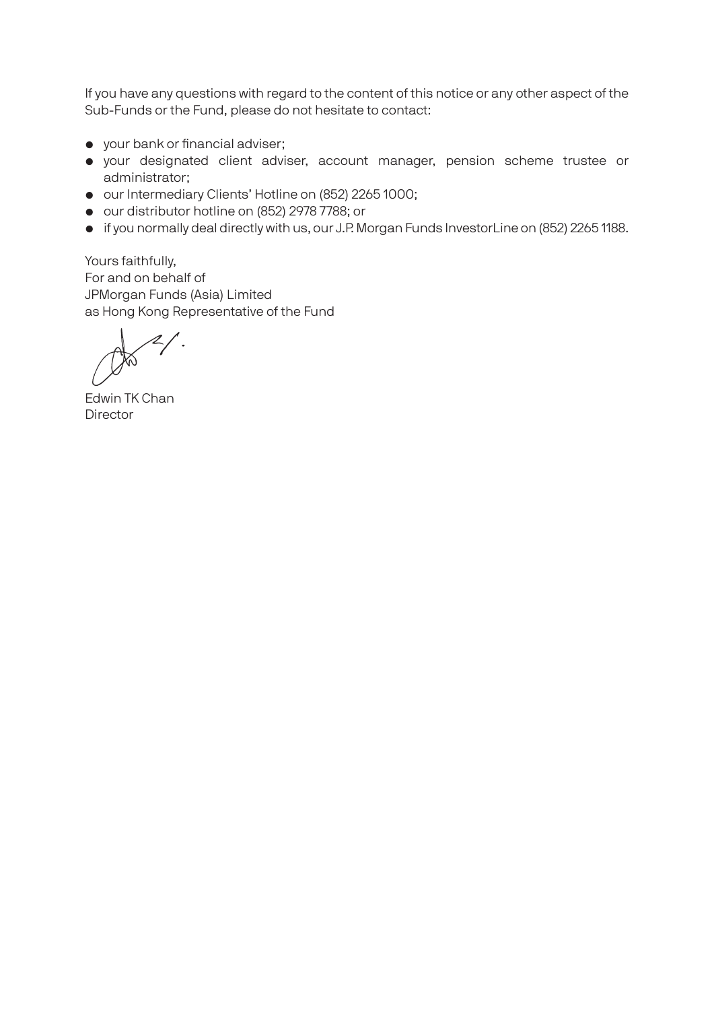If you have any questions with regard to the content of this notice or any other aspect of the Sub-Funds or the Fund, please do not hesitate to contact:

- your bank or financial adviser;
- your designated client adviser, account manager, pension scheme trustee or administrator;
- our Intermediary Clients' Hotline on (852) 2265 1000;
- our distributor hotline on (852) 2978 7788; or
- if you normally deal directly with us, our J.P. Morgan Funds InvestorLine on (852) 2265 1188.

Yours faithfully, For and on behalf of JPMorgan Funds (Asia) Limited as Hong Kong Representative of the Fund

Edwin TK Chan **Director**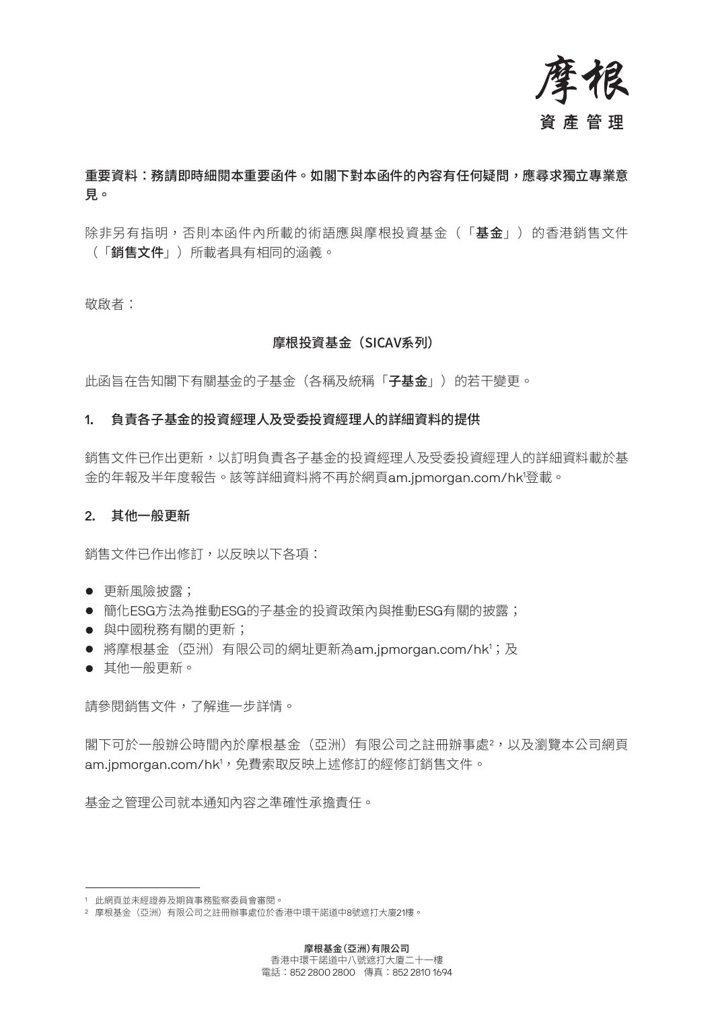

# 重要資料:務請即時細閱本重要函件。如閣下對本函件的內容有任何疑問,應尋求獨立專業意 見。

除非另有指明,否則本函件內所載的術語應與摩根投資基金(「基金」)的香港銷售文件 (「銷售文件」)所載者具有相同的涵義。

敬啟者:

## 摩根投資基金(SICAV系列)

此函旨在告知閣下有關基金的子基金 (各稱及統稱「子**基金」**) 的若干變更。

### 1. 負責各子基金的投資經理人及受委投資經理人的詳細資料的提供

銷售文件已作出更新,以訂明負責各子基金的投資經理人及受委投資經理人的詳細資料載於基 金的年報及半年度報告。該等詳細資料將不再於網頁am.jpmorgan.com/hk1 登載。

#### 2. 其他一般更新

銷售文件已作出修訂,以反映以下各項:

- 更新風險披露;
- 簡化ESG方法為推動ESG的子基金的投資政策內與推動ESG有關的披露;
- 與中國稅務有關的更新;
- 將摩根基金(亞洲)有限公司的網址更新為am.jpmorgan.com/hk<sup>1</sup>;及
- 其他一般更新。

請參閱銷售文件,了解進一步詳情。

閣下可於一般辦公時間內於摩根基金(亞洲)有限公司之註冊辦事處<sup>2</sup>,以及瀏覽本公司網頁 am.jpmorgan.com/hk',免費索取反映上述修訂的經修訂銷售文件。

基金之管理公司就本通知內容之準確性承擔責任。

<sup>1</sup> 此網頁並未經證券及期貨事務監察委員會審閱。

<sup>2</sup> 摩根基金(亞洲)有限公司之註冊辦事處位於香港中環干諾道中8號遮打大廈21樓。